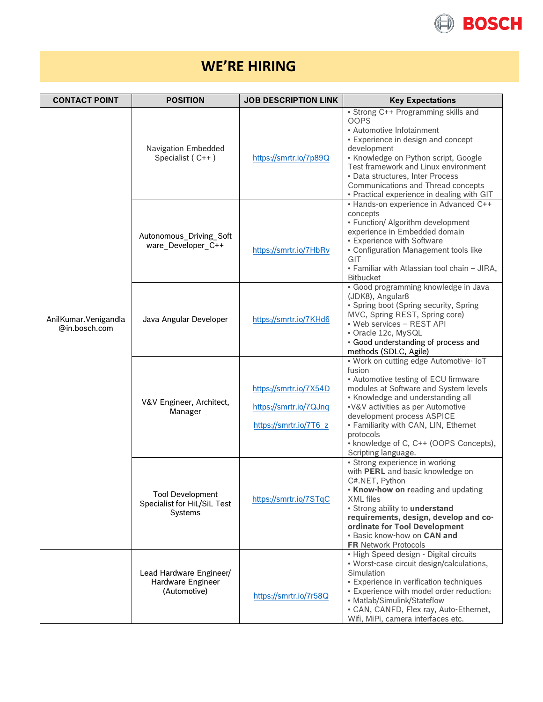

## **WE'RE HIRING**

| <b>CONTACT POINT</b>                  | <b>POSITION</b>                                                   | <b>JOB DESCRIPTION LINK</b>                                                | <b>Key Expectations</b>                                                                                                                                                                                                                                                                                                                                          |
|---------------------------------------|-------------------------------------------------------------------|----------------------------------------------------------------------------|------------------------------------------------------------------------------------------------------------------------------------------------------------------------------------------------------------------------------------------------------------------------------------------------------------------------------------------------------------------|
| AnilKumar.Venigandla<br>@in.bosch.com | Navigation Embedded<br>Specialist (C++)                           | https://smrtr.io/7p89Q                                                     | • Strong C++ Programming skills and<br><b>OOPS</b><br>• Automotive Infotainment<br>• Experience in design and concept<br>development<br>• Knowledge on Python script, Google<br>Test framework and Linux environment<br>• Data structures, Inter Process<br>Communications and Thread concepts<br>• Practical experience in dealing with GIT                     |
|                                       | Autonomous_Driving_Soft<br>ware_Developer_C++                     | https://smrtr.io/7HbRv                                                     | • Hands-on experience in Advanced C++<br>concepts<br>• Function/ Algorithm development<br>experience in Embedded domain<br>• Experience with Software<br>• Configuration Management tools like<br>GIT<br>· Familiar with Atlassian tool chain - JIRA,<br><b>Bitbucket</b>                                                                                        |
|                                       | Java Angular Developer                                            | https://smrtr.io/7KHd6                                                     | · Good programming knowledge in Java<br>(JDK8), Angular8<br>• Spring boot (Spring security, Spring<br>MVC, Spring REST, Spring core)<br>• Web services - REST API<br>• Oracle 12c, MySQL<br>• Good understanding of process and<br>methods (SDLC, Agile)                                                                                                         |
|                                       | V&V Engineer, Architect,<br>Manager                               | https://smrtr.io/7X54D<br>https://smrtr.io/7QJnq<br>https://smrtr.io/7T6 z | • Work on cutting edge Automotive- IoT<br>fusion<br>• Automotive testing of ECU firmware<br>modules at Software and System levels<br>• Knowledge and understanding all<br>.V&V activities as per Automotive<br>development process ASPICE<br>• Familiarity with CAN, LIN, Ethernet<br>protocols<br>• knowledge of C, C++ (OOPS Concepts),<br>Scripting language. |
|                                       | <b>Tool Development</b><br>Specialist for HiL/SiL Test<br>Systems | https://smrtr.io/7STqC                                                     | • Strong experience in working<br>with PERL and basic knowledge on<br>C#.NET, Python<br>. Know-how on reading and updating<br><b>XML</b> files<br>• Strong ability to understand<br>requirements, design, develop and co-<br>ordinate for Tool Development<br>. Basic know-how on CAN and<br><b>FR Network Protocols</b>                                         |
|                                       | Lead Hardware Engineer/<br>Hardware Engineer<br>(Automotive)      | https://smrtr.io/7r58Q                                                     | • High Speed design - Digital circuits<br>• Worst-case circuit design/calculations,<br>Simulation<br>• Experience in verification techniques<br>• Experience with model order reduction:<br>• Matlab/Simulink/Stateflow<br>• CAN, CANFD, Flex ray, Auto-Ethernet,<br>Wifi, MiPi, camera interfaces etc.                                                          |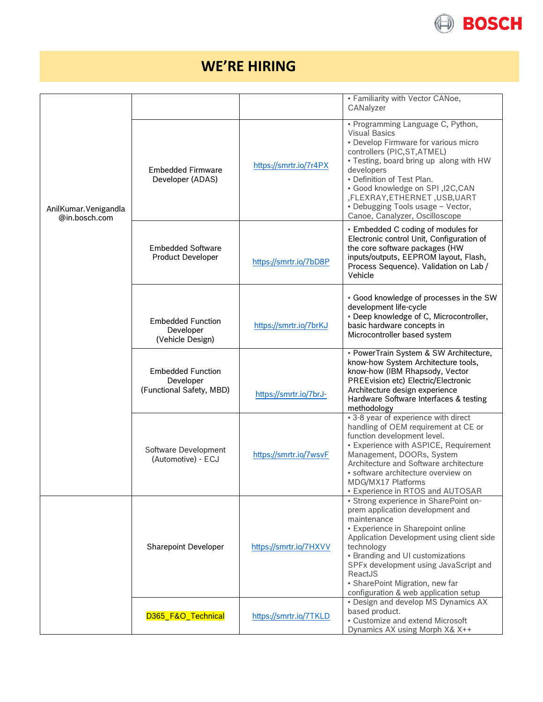

## **WE'RE HIRING**

|                                       |                                                                   |                        | • Familiarity with Vector CANoe,<br>CANalyzer                                                                                                                                                                                                                                                                                                                      |
|---------------------------------------|-------------------------------------------------------------------|------------------------|--------------------------------------------------------------------------------------------------------------------------------------------------------------------------------------------------------------------------------------------------------------------------------------------------------------------------------------------------------------------|
| AnilKumar.Venigandla<br>@in.bosch.com | <b>Embedded Firmware</b><br>Developer (ADAS)                      | https://smrtr.io/7r4PX | • Programming Language C, Python,<br><b>Visual Basics</b><br>• Develop Firmware for various micro<br>controllers (PIC, ST, ATMEL)<br>• Testing, board bring up along with HW<br>developers<br>• Definition of Test Plan.<br>. Good knowledge on SPI, I2C, CAN<br>,FLEXRAY,ETHERNET,USB,UART<br>• Debugging Tools usage - Vector,<br>Canoe, Canalyzer, Oscilloscope |
|                                       | <b>Embedded Software</b><br><b>Product Developer</b>              | https://smrtr.io/7bD8P | • Embedded C coding of modules for<br>Electronic control Unit, Configuration of<br>the core software packages (HW<br>inputs/outputs, EEPROM layout, Flash,<br>Process Sequence). Validation on Lab /<br>Vehicle                                                                                                                                                    |
|                                       | <b>Embedded Function</b><br>Developer<br>(Vehicle Design)         | https://smrtr.io/7brKJ | • Good knowledge of processes in the SW<br>development life-cycle<br>• Deep knowledge of C, Microcontroller,<br>basic hardware concepts in<br>Microcontroller based system                                                                                                                                                                                         |
|                                       | <b>Embedded Function</b><br>Developer<br>(Functional Safety, MBD) | https://smrtr.io/7brJ- | • PowerTrain System & SW Architecture,<br>know-how System Architecture tools,<br>know-how (IBM Rhapsody, Vector<br>PREEvision etc) Electric/Electronic<br>Architecture design experience<br>Hardware Software Interfaces & testing<br>methodology                                                                                                                  |
|                                       | Software Development<br>(Automotive) - ECJ                        | https://smrtr.io/7wsvF | • 3-8 year of experience with direct<br>handling of OEM requirement at CE or<br>function development level.<br>• Experience with ASPICE, Requirement<br>Management, DOORs, System<br>Architecture and Software architecture<br>• software architecture overview on<br>MDG/MX17 Platforms<br><b>• Experience in RTOS and AUTOSAR</b>                                |
|                                       | <b>Sharepoint Developer</b>                                       | https://smrtr.io/7HXVV | • Strong experience in SharePoint on-<br>prem application development and<br>maintenance<br>• Experience in Sharepoint online<br>Application Development using client side<br>technology<br>• Branding and UI customizations<br>SPFx development using JavaScript and<br>ReactJS<br>• SharePoint Migration, new far<br>configuration & web application setup       |
|                                       | D365_F&O_Technical                                                | https://smrtr.io/7TKLD | • Design and develop MS Dynamics AX<br>based product.<br>• Customize and extend Microsoft<br>Dynamics AX using Morph X& X++                                                                                                                                                                                                                                        |